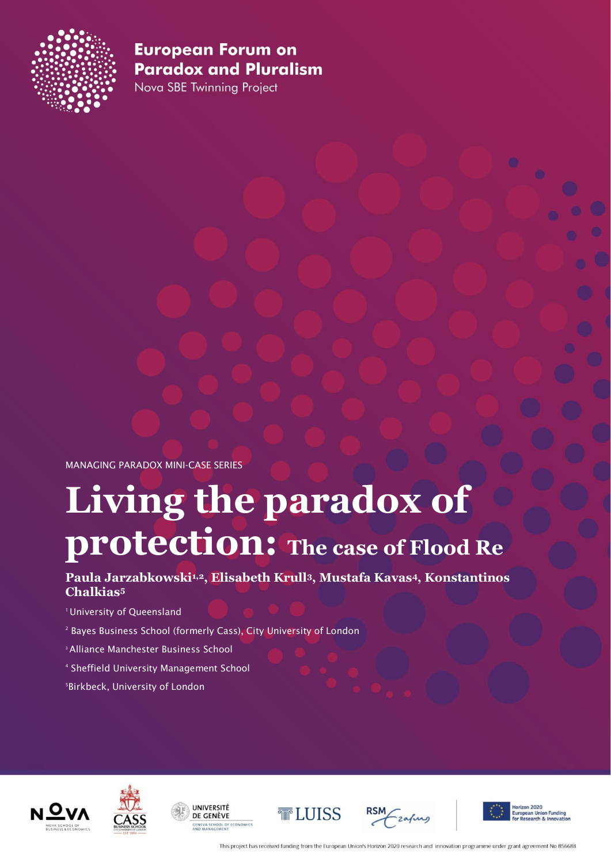

Nova SBE Twinning Project

MANAGING PARADOX MINI-CASE SERIES

# **Living the paradox of protection: The case of Flood Re**

**Paula Jarzabkowski1,2, Elisabeth Krull3, Mustafa Kavas4, Konstantinos Chalkias5**

<sup>1</sup> University of Queensland

- <sup>2</sup> Bayes Business School (formerly Cass), City University of London
- 3Alliance Manchester Business School
- <sup>4</sup> Sheffield University Management School

5 Birkbeck, University of London











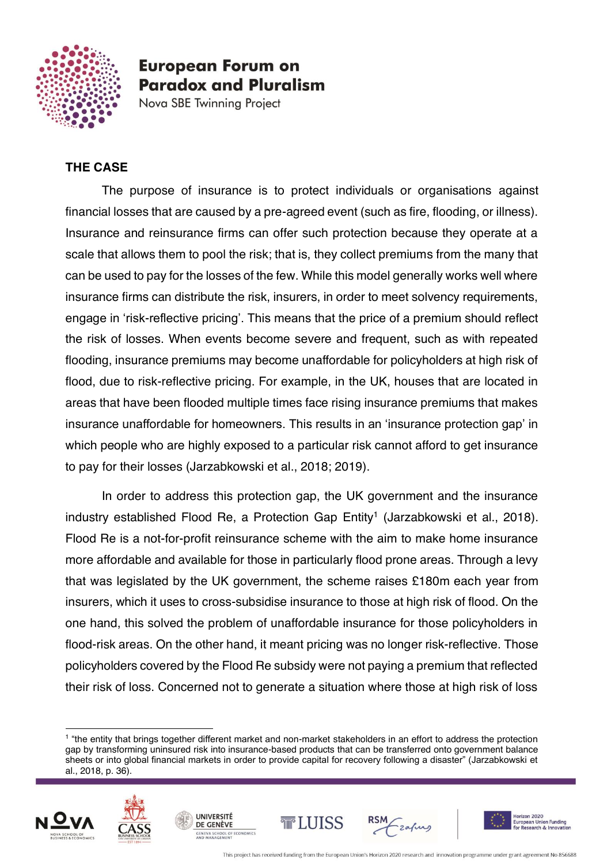

Nova SBE Twinning Project

### **THE CASE**

The purpose of insurance is to protect individuals or organisations against financial losses that are caused by a pre-agreed event (such as fire, flooding, or illness). Insurance and reinsurance firms can offer such protection because they operate at a scale that allows them to pool the risk; that is, they collect premiums from the many that can be used to pay for the losses of the few. While this model generally works well where insurance firms can distribute the risk, insurers, in order to meet solvency requirements, engage in 'risk-reflective pricing'. This means that the price of a premium should reflect the risk of losses. When events become severe and frequent, such as with repeated flooding, insurance premiums may become unaffordable for policyholders at high risk of flood, due to risk-reflective pricing. For example, in the UK, houses that are located in areas that have been flooded multiple times face rising insurance premiums that makes insurance unaffordable for homeowners. This results in an 'insurance protection gap' in which people who are highly exposed to a particular risk cannot afford to get insurance to pay for their losses (Jarzabkowski et al., 2018; 2019).

In order to address this protection gap, the UK government and the insurance industry established Flood Re, a Protection Gap  $Entity<sup>1</sup>$  (Jarzabkowski et al., 2018). Flood Re is a not-for-profit reinsurance scheme with the aim to make home insurance more affordable and available for those in particularly flood prone areas. Through a levy that was legislated by the UK government, the scheme raises £180m each year from insurers, which it uses to cross-subsidise insurance to those at high risk of flood. On the one hand, this solved the problem of unaffordable insurance for those policyholders in flood-risk areas. On the other hand, it meant pricing was no longer risk-reflective. Those policyholders covered by the Flood Re subsidy were not paying a premium that reflected their risk of loss. Concerned not to generate a situation where those at high risk of loss

<sup>&</sup>lt;sup>1</sup> "the entity that brings together different market and non-market stakeholders in an effort to address the protection gap by transforming uninsured risk into insurance-based products that can be transferred onto government balance sheets or into global financial markets in order to provide capital for recovery following a disaster" (Jarzabkowski et al., 2018, p. 36).





**UNIVERSITÉ** 

DE GENÈVE





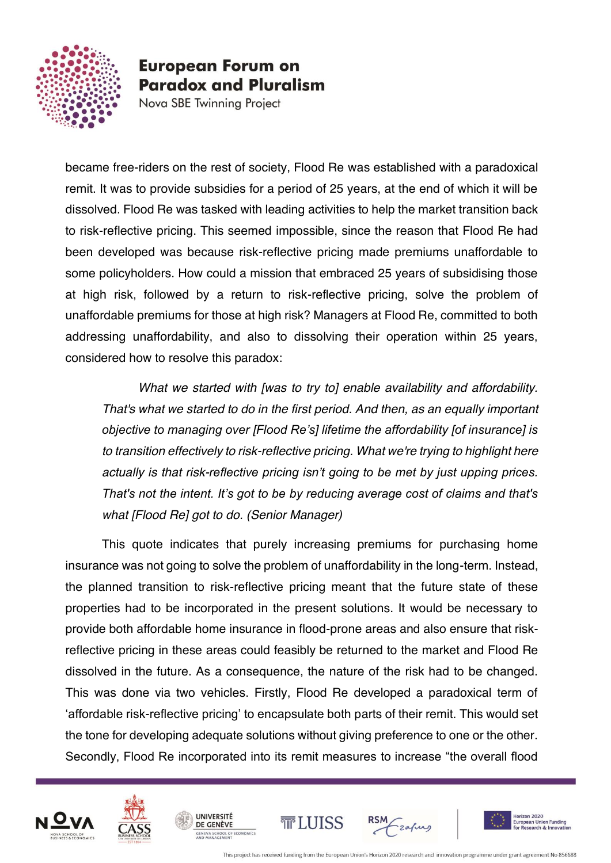

Nova SBE Twinning Project

became free-riders on the rest of society, Flood Re was established with a paradoxical remit. It was to provide subsidies for a period of 25 years, at the end of which it will be dissolved. Flood Re was tasked with leading activities to help the market transition back to risk-reflective pricing. This seemed impossible, since the reason that Flood Re had been developed was because risk-reflective pricing made premiums unaffordable to some policyholders. How could a mission that embraced 25 years of subsidising those at high risk, followed by a return to risk-reflective pricing, solve the problem of unaffordable premiums for those at high risk? Managers at Flood Re, committed to both addressing unaffordability, and also to dissolving their operation within 25 years, considered how to resolve this paradox:

*What we started with [was to try to] enable availability and affordability. That's what we started to do in the first period. And then, as an equally important objective to managing over [Flood Re's] lifetime the affordability [of insurance] is to transition effectively to risk-reflective pricing. What we're trying to highlight here actually is that risk-reflective pricing isn't going to be met by just upping prices. That's not the intent. It's got to be by reducing average cost of claims and that's what [Flood Re] got to do. (Senior Manager)*

This quote indicates that purely increasing premiums for purchasing home insurance was not going to solve the problem of unaffordability in the long-term. Instead, the planned transition to risk-reflective pricing meant that the future state of these properties had to be incorporated in the present solutions. It would be necessary to provide both affordable home insurance in flood-prone areas and also ensure that riskreflective pricing in these areas could feasibly be returned to the market and Flood Re dissolved in the future. As a consequence, the nature of the risk had to be changed. This was done via two vehicles. Firstly, Flood Re developed a paradoxical term of 'affordable risk-reflective pricing' to encapsulate both parts of their remit. This would set the tone for developing adequate solutions without giving preference to one or the other. Secondly, Flood Re incorporated into its remit measures to increase "the overall flood





**UNIVERSITÉ** 

DE GENÈVE





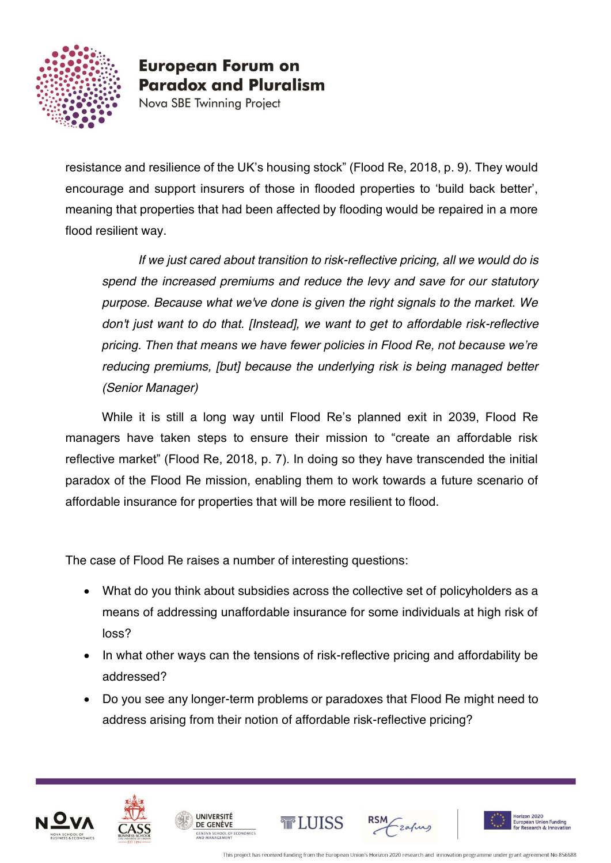

Nova SBE Twinning Project

resistance and resilience of the UK's housing stock" (Flood Re, 2018, p. 9). They would encourage and support insurers of those in flooded properties to 'build back better', meaning that properties that had been affected by flooding would be repaired in a more flood resilient way.

*If we just cared about transition to risk-reflective pricing, all we would do is spend the increased premiums and reduce the levy and save for our statutory purpose. Because what we've done is given the right signals to the market. We don't just want to do that. [Instead], we want to get to affordable risk-reflective pricing. Then that means we have fewer policies in Flood Re, not because we're reducing premiums, [but] because the underlying risk is being managed better (Senior Manager)*

While it is still a long way until Flood Re's planned exit in 2039, Flood Re managers have taken steps to ensure their mission to "create an affordable risk reflective market" (Flood Re, 2018, p. 7). In doing so they have transcended the initial paradox of the Flood Re mission, enabling them to work towards a future scenario of affordable insurance for properties that will be more resilient to flood.

The case of Flood Re raises a number of interesting questions:

- What do you think about subsidies across the collective set of policyholders as a means of addressing unaffordable insurance for some individuals at high risk of loss?
- In what other ways can the tensions of risk-reflective pricing and affordability be addressed?
- Do you see any longer-term problems or paradoxes that Flood Re might need to address arising from their notion of affordable risk-reflective pricing?





**UNIVERSITÉ** 

DE GENÈVE





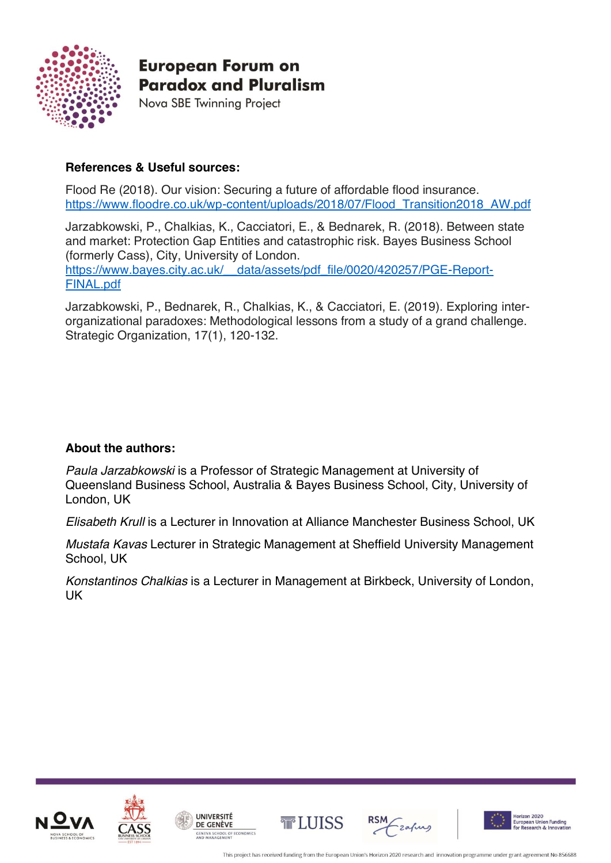

Nova SBE Twinning Project

#### **References & Useful sources:**

Flood Re (2018). Our vision: Securing a future of affordable flood insurance. [https://www.floodre.co.uk/wp-content/uploads/2018/07/Flood\\_Transition2018\\_AW.pdf](https://www.floodre.co.uk/wp-content/uploads/2018/07/Flood_Transition2018_AW.pdf)

Jarzabkowski, P., Chalkias, K., Cacciatori, E., & Bednarek, R. (2018). Between state and market: Protection Gap Entities and catastrophic risk. Bayes Business School (formerly Cass), City, University of London. [https://www.bayes.city.ac.uk/\\_\\_data/assets/pdf\\_file/0020/420257/PGE-Report-](https://www.bayes.city.ac.uk/__data/assets/pdf_file/0020/420257/PGE-Report-FINAL.pdf)[FINAL.pdf](https://www.bayes.city.ac.uk/__data/assets/pdf_file/0020/420257/PGE-Report-FINAL.pdf)

Jarzabkowski, P., Bednarek, R., Chalkias, K., & Cacciatori, E. (2019). Exploring interorganizational paradoxes: Methodological lessons from a study of a grand challenge. Strategic Organization, 17(1), 120-132.

#### **About the authors:**

*Paula Jarzabkowski* is a Professor of Strategic Management at University of Queensland Business School, Australia & Bayes Business School, City, University of London, UK

*Elisabeth Krull* is a Lecturer in Innovation at Alliance Manchester Business School, UK

*Mustafa Kavas* Lecturer in Strategic Management at Sheffield University Management School, UK

*Konstantinos Chalkias* is a Lecturer in Management at Birkbeck, University of London, UK